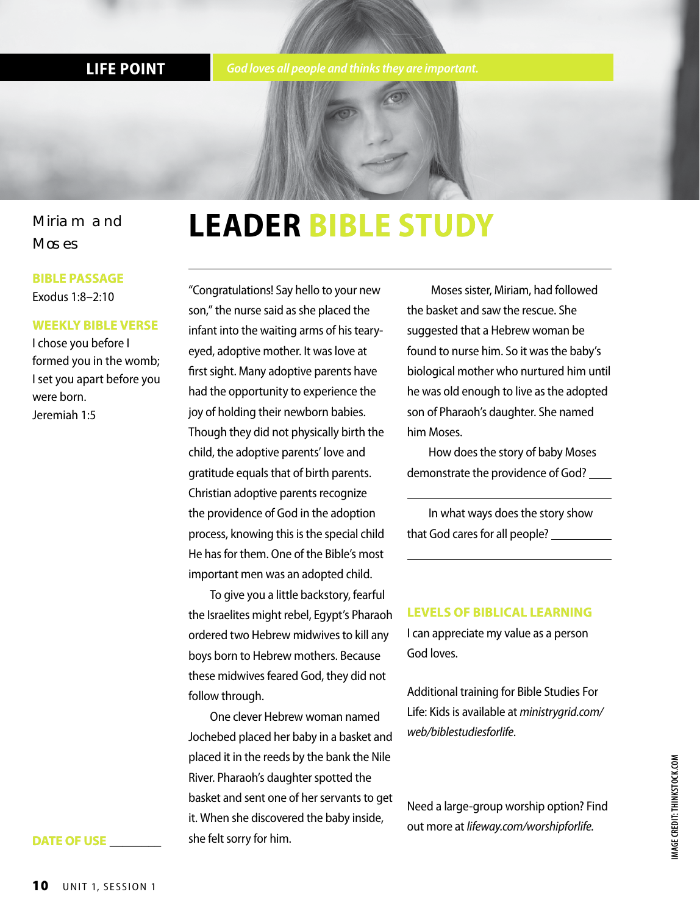**LIFE POINT** *God loves all people and thinks they are important.*



**LEADER BIBLE STUDY**

#### Miriam and **Moses**

#### **BIBLE PASSAGE** Exodus 1:8–2:10

#### **WEEKLY BIBLE VERSE**

I chose you before I formed you in the womb; I set you apart before you were born. Jeremiah 1:5

"Congratulations! Say hello to your new son," the nurse said as she placed the infant into the waiting arms of his tearyeyed, adoptive mother. It was love at first sight. Many adoptive parents have had the opportunity to experience the joy of holding their newborn babies. Though they did not physically birth the child, the adoptive parents' love and gratitude equals that of birth parents. Christian adoptive parents recognize the providence of God in the adoption process, knowing this is the special child He has for them. One of the Bible's most important men was an adopted child.

To give you a little backstory, fearful the Israelites might rebel, Egypt's Pharaoh ordered two Hebrew midwives to kill any boys born to Hebrew mothers. Because these midwives feared God, they did not follow through.

One clever Hebrew woman named Jochebed placed her baby in a basket and placed it in the reeds by the bank the Nile River. Pharaoh's daughter spotted the basket and sent one of her servants to get it. When she discovered the baby inside, she felt sorry for him.

 Moses sister, Miriam, had followed the basket and saw the rescue. She suggested that a Hebrew woman be found to nurse him. So it was the baby's biological mother who nurtured him until he was old enough to live as the adopted son of Pharaoh's daughter. She named him Moses.

How does the story of baby Moses demonstrate the providence of God?

In what ways does the story show that God cares for all people?

#### **LEVELS OF BIBLICAL LEARNING**

I can appreciate my value as a person God loves.

Additional training for Bible Studies For Life: Kids is available at *ministrygrid.com/ web/biblestudiesforlife*.

Need a large-group worship option? Find out more at *lifeway.com/worshipforlife.*

#### **DATE OF USE \_\_\_\_\_\_\_\_**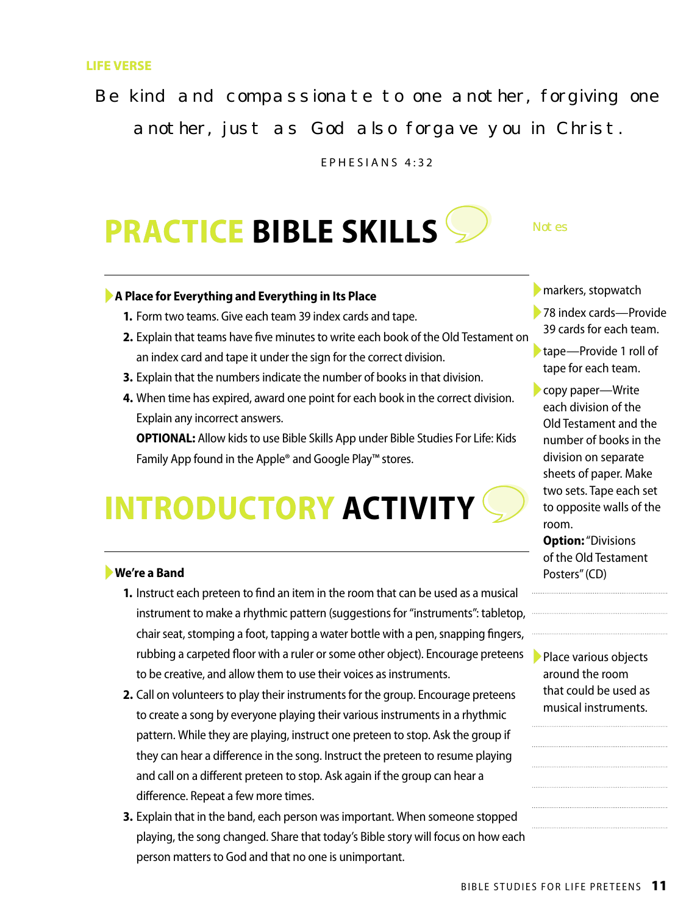#### **LIFE VERSE**

Be kind and compassionate to one another, forgiving one another, just as God also forgave you in Christ.

EPHESIANS 4:32

## **PRACTICE BIBLE SKILLS**

#### ►**A Place for Everything and Everything in Its Place**

- **1.** Form two teams. Give each team 39 index cards and tape.
- **2.** Explain that teams have five minutes to write each book of the Old Testament on an index card and tape it under the sign for the correct division.
- **3.** Explain that the numbers indicate the number of books in that division.
- **4.** When time has expired, award one point for each book in the correct division. Explain any incorrect answers.

**OPTIONAL:** Allow kids to use Bible Skills App under Bible Studies For Life: Kids Family App found in the Apple® and Google Play™ stores.

## **INTRODUCTORY ACTIVITY**

#### ►**We're a Band**

- **1.** Instruct each preteen to find an item in the room that can be used as a musical instrument to make a rhythmic pattern (suggestions for "instruments": tabletop, chair seat, stomping a foot, tapping a water bottle with a pen, snapping fingers, rubbing a carpeted floor with a ruler or some other object). Encourage preteens to be creative, and allow them to use their voices as instruments.
- **2.** Call on volunteers to play their instruments for the group. Encourage preteens to create a song by everyone playing their various instruments in a rhythmic pattern. While they are playing, instruct one preteen to stop. Ask the group if they can hear a difference in the song. Instruct the preteen to resume playing and call on a different preteen to stop. Ask again if the group can hear a difference. Repeat a few more times.
- **3.** Explain that in the band, each person was important. When someone stopped playing, the song changed. Share that today's Bible story will focus on how each person matters to God and that no one is unimportant.

▶ markers, stopwatch

Not es

►78 index cards—Provide 39 cards for each team.

►tape—Provide 1 roll of tape for each team.

►copy paper—Write each division of the Old Testament and the number of books in the division on separate sheets of paper. Make two sets. Tape each set to opposite walls of the room.

**Option:** "Divisions of the Old Testament Posters" (CD)

▶ Place various objects around the room that could be used as musical instruments.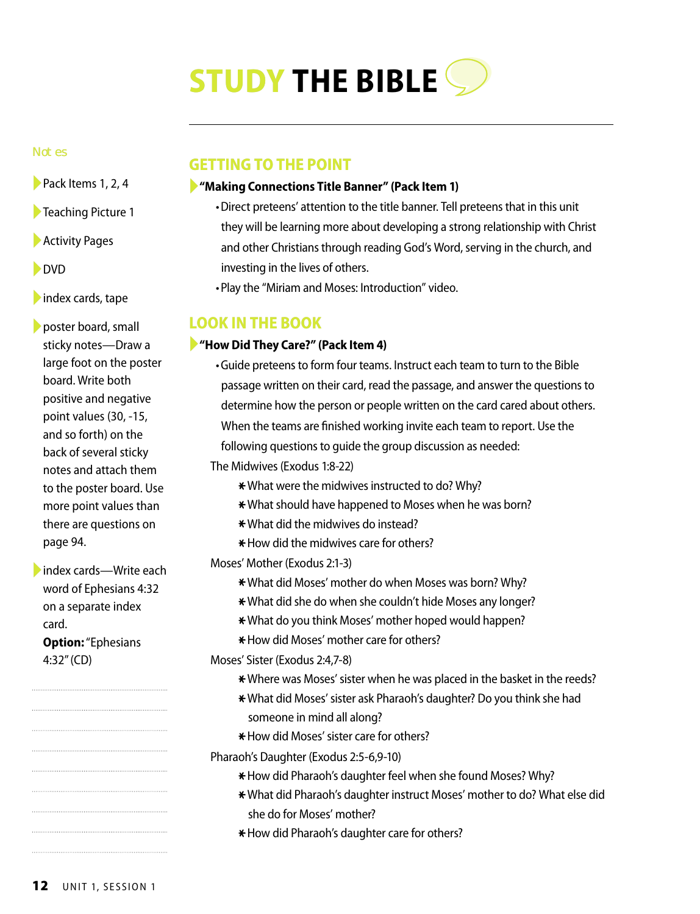## **STUDY THE BIBLE**

#### Not es

- ►Pack Items 1, 2, 4
- ►Teaching Picture 1
- ▶ Activity Pages
- ►DVD
- $\blacksquare$ index cards, tape

►poster board, small sticky notes—Draw a large foot on the poster board. Write both positive and negative point values (30, -15, and so forth) on the back of several sticky notes and attach them to the poster board. Use more point values than there are questions on page 94.

►index cards—Write each word of Ephesians 4:32 on a separate index card. **Option:** "Ephesians 4:32" (CD)

#### **GETTING TO THE POINT**

#### ►**"Making Connections Title Banner" (Pack Item 1)**

- •Direct preteens' attention to the title banner. Tell preteens that in this unit they will be learning more about developing a strong relationship with Christ and other Christians through reading God's Word, serving in the church, and investing in the lives of others.
- •Play the "Miriam and Moses: Introduction" video.

#### **LOOK IN THE BOOK**

#### ►**"How Did They Care?" (Pack Item 4)**

- •Guide preteens to form four teams. Instruct each team to turn to the Bible passage written on their card, read the passage, and answer the questions to determine how the person or people written on the card cared about others. When the teams are finished working invite each team to report. Use the following questions to guide the group discussion as needed:
- The Midwives (Exodus 1:8-22)
	- \* What were the midwives instructed to do? Why?
	- \* What should have happened to Moses when he was born?
	- \*What did the midwives do instead?
	- $*$  How did the midwives care for others?

Moses' Mother (Exodus 2:1-3)

- \*What did Moses' mother do when Moses was born? Why?
- \*What did she do when she couldn't hide Moses any longer?
- \*What do you think Moses' mother hoped would happen?
- \* How did Moses' mother care for others?
- Moses' Sister (Exodus 2:4,7-8)
	- \* Where was Moses' sister when he was placed in the basket in the reeds?
	- \*What did Moses' sister ask Pharaoh's daughter? Do you think she had someone in mind all along?
	- \* How did Moses' sister care for others?
- Pharaoh's Daughter (Exodus 2:5-6,9-10)
	- \* How did Pharaoh's daughter feel when she found Moses? Why?
	- \*What did Pharaoh's daughter instruct Moses' mother to do? What else did she do for Moses' mother?
	- \* How did Pharaoh's daughter care for others?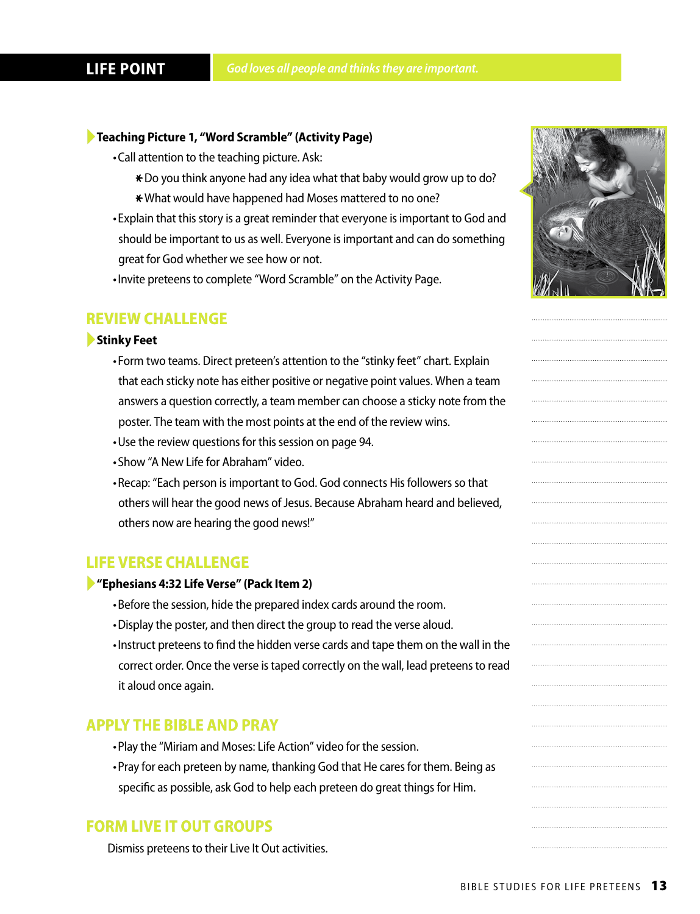#### ►**Teaching Picture 1, "Word Scramble" (Activity Page)**

- •Call attention to the teaching picture. Ask:
	- \* Do you think anyone had any idea what that baby would grow up to do? \* What would have happened had Moses mattered to no one?
- •Explain that this story is a great reminder that everyone is important to God and should be important to us as well. Everyone is important and can do something great for God whether we see how or not.
- •Invite preteens to complete "Word Scramble" on the Activity Page.

#### **REVIEW CHALLENGE**

#### ►**Stinky Feet**

- •Form two teams. Direct preteen's attention to the "stinky feet" chart. Explain that each sticky note has either positive or negative point values. When a team answers a question correctly, a team member can choose a sticky note from the poster. The team with the most points at the end of the review wins.
- •Use the review questions for this session on page 94.
- •Show "A New Life for Abraham" video.
- •Recap: "Each person is important to God. God connects His followers so that others will hear the good news of Jesus. Because Abraham heard and believed, others now are hearing the good news!"

#### **LIFE VERSE CHALLENGE**

#### ►**"Ephesians 4:32 Life Verse" (Pack Item 2)**

- •Before the session, hide the prepared index cards around the room.
- •Display the poster, and then direct the group to read the verse aloud.
- •Instruct preteens to find the hidden verse cards and tape them on the wall in the correct order. Once the verse is taped correctly on the wall, lead preteens to read it aloud once again.

#### **APPLY THE BIBLE AND PRAY**

- •Play the "Miriam and Moses: Life Action" video for the session.
- •Pray for each preteen by name, thanking God that He cares for them. Being as specific as possible, ask God to help each preteen do great things for Him.

#### **FORM LIVE IT OUT GROUPS**

Dismiss preteens to their Live It Out activities.

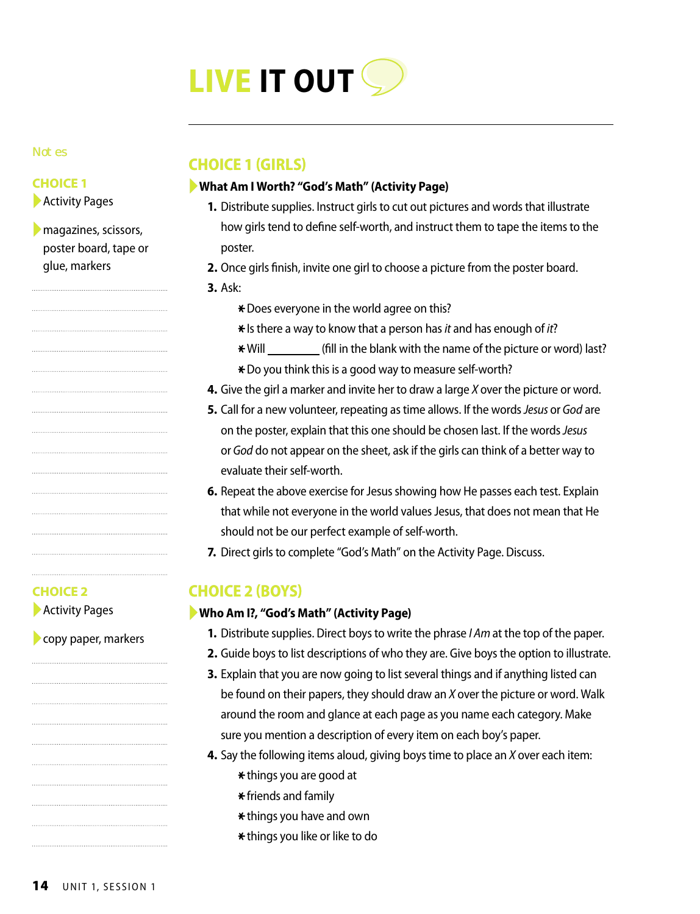

#### Not es

#### **CHOICE 1**

▶ Activity Pages

▶ magazines, scissors, poster board, tape or glue, markers

#### **CHOICE 1 (GIRLS)**

#### ►**What Am I Worth? "God's Math" (Activity Page)**

- **1.** Distribute supplies. Instruct girls to cut out pictures and words that illustrate how girls tend to define self-worth, and instruct them to tape the items to the poster.
- **2.** Once girls finish, invite one girl to choose a picture from the poster board.
- **3.** Ask:
	- \* Does everyone in the world agree on this?
	- \*Is there a way to know that a person has *it* and has enough of *it*?
	- \* Will \_\_\_\_\_\_\_\_\_\_ (fill in the blank with the name of the picture or word) last?
	- \* Do you think this is a good way to measure self-worth?
- **4.** Give the girl a marker and invite her to draw a large *X* over the picture or word.
- **5.** Call for a new volunteer, repeating as time allows. If the words *Jesus* or *God* are on the poster, explain that this one should be chosen last. If the words *Jesus*  or *God* do not appear on the sheet, ask if the girls can think of a better way to evaluate their self-worth.
- **6.** Repeat the above exercise for Jesus showing how He passes each test. Explain that while not everyone in the world values Jesus, that does not mean that He should not be our perfect example of self-worth.
- **7.** Direct girls to complete "God's Math" on the Activity Page. Discuss.

#### **CHOICE 2 (BOYS)**

#### ►**Who Am I?, "God's Math" (Activity Page)**

- **1.** Distribute supplies. Direct boys to write the phrase *I Am* at the top of the paper.
- **2.** Guide boys to list descriptions of who they are. Give boys the option to illustrate.
- **3.** Explain that you are now going to list several things and if anything listed can be found on their papers, they should draw an *X* over the picture or word. Walk around the room and glance at each page as you name each category. Make sure you mention a description of every item on each boy's paper.
- **4.** Say the following items aloud, giving boys time to place an *X* over each item:
	- \*things you are good at
		- $*$  friends and family
		- \* things you have and own
		- \* things you like or like to do

### **CHOICE 2**

▶ Activity Pages

►copy paper, markers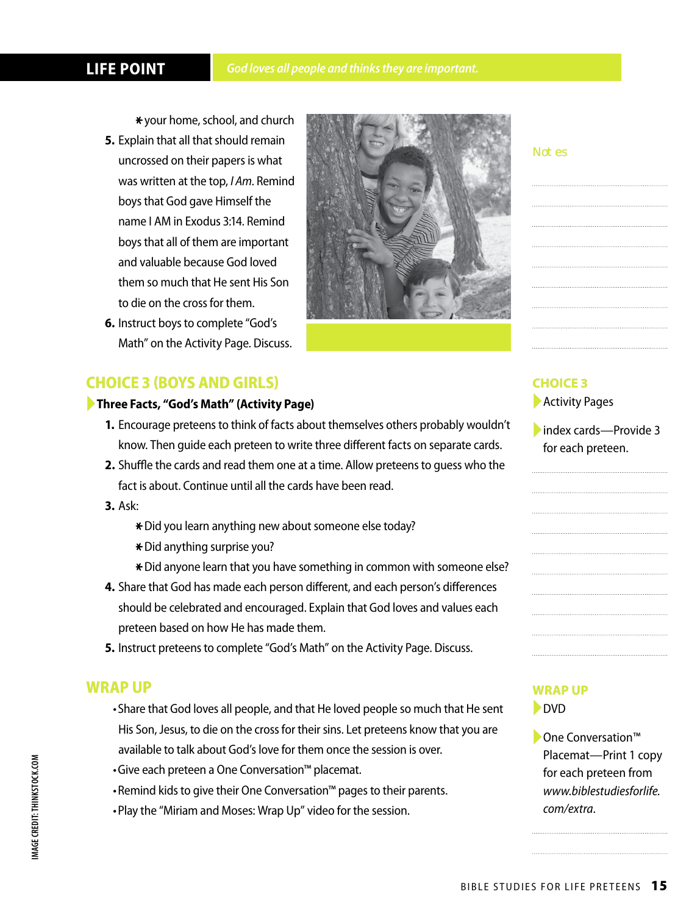#### **LIFE POINT**

\*your home, school, and church

- **5.** Explain that all that should remain uncrossed on their papers is what was written at the top, *I Am*. Remind boys that God gave Himself the name I AM in Exodus 3:14. Remind boys that all of them are important and valuable because God loved them so much that He sent His Son to die on the cross for them.
- **6.** Instruct boys to complete "God's Math" on the Activity Page. Discuss.

#### **CHOICE 3 (BOYS AND GIRLS)**

#### ►**Three Facts, "God's Math" (Activity Page)**

- **1.** Encourage preteens to think of facts about themselves others probably wouldn't know. Then guide each preteen to write three different facts on separate cards.
- **2.** Shuffle the cards and read them one at a time. Allow preteens to guess who the fact is about. Continue until all the cards have been read.
- **3.** Ask:
	- \*Did you learn anything new about someone else today?
	- \*Did anything surprise you?
	- \* Did anyone learn that you have something in common with someone else?
- **4.** Share that God has made each person different, and each person's differences should be celebrated and encouraged. Explain that God loves and values each preteen based on how He has made them.
- **5.** Instruct preteens to complete "God's Math" on the Activity Page. Discuss.

#### **WRAP UP**

- •Share that God loves all people, and that He loved people so much that He sent His Son, Jesus, to die on the cross for their sins. Let preteens know that you are available to talk about God's love for them once the session is over.
- •Give each preteen a One Conversation™ placemat.
- •Remind kids to give their One Conversation™ pages to their parents.
- •Play the "Miriam and Moses: Wrap Up" video for the session.

#### Not es

#### **CHOICE 3**

- ▶ Activity Pages
- ►index cards—Provide 3 for each preteen.

# 

#### **WRAP UP**

►DVD

►One Conversation™ Placemat—Print 1 copy for each preteen from *www.biblestudiesforlife. com/extra*.